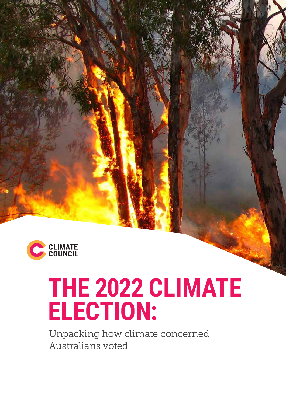

# **THE 2022 CLIMATE ELECTION:**

Unpacking how climate concerned Australians voted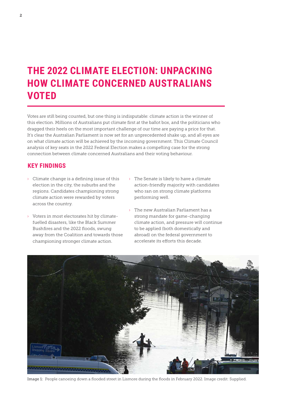### **THE 2022 CLIMATE ELECTION: UNPACKING HOW CLIMATE CONCERNED AUSTRALIANS VOTED**

Votes are still being counted, but one thing is indisputable: climate action is the winner of this election. Millions of Australians put climate first at the ballot box, and the politicians who dragged their heels on the most important challenge of our time are paying a price for that. It's clear the Australian Parliament is now set for an unprecedented shake up, and all eyes are on what climate action will be achieved by the incoming government. This Climate Council analysis of key seats in the 2022 Federal Election makes a compelling case for the strong connection between climate concerned Australians and their voting behaviour.

#### **KEY FINDINGS**

- $\rightarrow$  Climate change is a defining issue of this election in the city, the suburbs and the regions. Candidates championing strong climate action were rewarded by voters across the country.
- › Voters in most electorates hit by climatefuelled disasters, like the Black Summer Bushfires and the 2022 floods, swung away from the Coalition and towards those championing stronger climate action.
- › The Senate is likely to have a climate action-friendly majority with candidates who ran on strong climate platforms performing well.
- › The new Australian Parliament has a strong mandate for game-changing climate action, and pressure will continue to be applied (both domestically and abroad) on the federal government to accelerate its efforts this decade.



Image 1: People canoeing down a flooded street in Lismore during the floods in February 2022. Image credit: Supplied.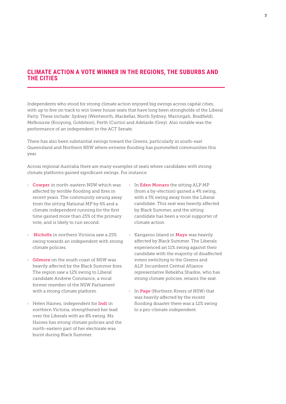#### **CLIMATE ACTION A VOTE WINNER IN THE REGIONS, THE SUBURBS AND THE CITIES**

Independents who stood for strong climate action enjoyed big swings across capital cities, with up to five on track to win lower house seats that have long been strongholds of the Liberal Party. These include: Sydney (Wentworth, Mackellar, North Sydney, Warringah, Bradfield), Melbourne (Kooyong, Goldstein), Perth (Curtin) and Adelaide (Grey). Also notable was the performance of an independent in the ACT Senate.

There has also been substantial swings toward the Greens, particularly in south-east Queensland and Northern NSW where extreme flooding has pummelled communities this year.

Across regional Australia there are many examples of seats where candidates with strong climate platforms gained significant swings. For instance:

- › Cowper in north-eastern NSW which was affected by terrible flooding and fires in recent years. The community swung away from the sitting National MP by 6% and a climate independent running for the first time gained more than 25% of the primary vote, and is likely to run second.
- **Nicholls** in northern Victoria saw a 25% swing towards an independent with strong climate policies.
- $\rightarrow$  Gilmore on the south coast of NSW was heavily affected by the Black Summer fires. The region saw a 12% swing to Liberal candidate Andrew Constance, a vocal former member of the NSW Parliament with a strong climate platform.
- › Helen Haines, independent for Indi in northern Victoria, strengthened her lead over the Liberals with an 8% swing. Ms Haines has strong climate policies and the north-eastern part of her electorate was burnt during Black Summer.
- › In Eden Monaro the sitting ALP MP (from a by-election) gained a 4% swing, with a 5% swing away from the Liberal candidate. This seat was heavily affected by Black Summer, and the sitting candidate has been a vocal supporter of climate action.
- › Kangaroo Island in Mayo was heavily affected by Black Summer. The Liberals experienced an 11% swing against their candidate with the majority of disaffected voters switching to the Greens and ALP. Incumbent Central Alliance representative Rebekha Sharkie, who has strong climate policies, retains the seat.
- $\rightarrow$  In Page (Northern Rivers of NSW) that was heavily affected by the recent flooding disaster there was a 12% swing to a pro-climate independent.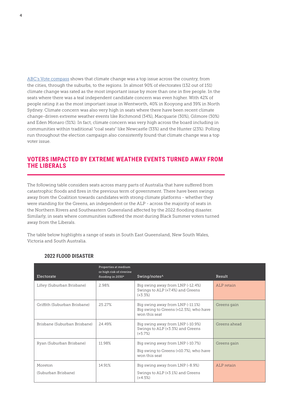ABC's Vote compass shows that climate change was a top issue across the country, from the cities, through the suburbs, to the regions. In almost 90% of electorates (132 out of 151) climate change was rated as the most important issue by more than one in five people. In the seats where there was a teal independent candidate concern was even higher. With 42% of people rating it as the most important issue in Wentworth, 40% in Kooyong and 39% in North Sydney. Climate concern was also very high in seats where there have been recent climate change-driven extreme weather events like Richmond (34%), Macquarie (30%), Gilmore (30%) and Eden Monaro (31%). In fact, climate concern was very high across the board including in communities within traditional "coal seats" like Newcastle (33%) and the Hunter (23%). Polling run throughout the election campaign also consistently found that climate change was a top voter issue.

#### **VOTERS IMPACTED BY EXTREME WEATHER EVENTS TURNED AWAY FROM THE LIBERALS**

The following table considers seats across many parts of Australia that have suffered from catastrophic floods and fires in the previous term of government. There have been swings away from the Coalition towards candidates with strong climate platforms - whether they were standing for the Greens, an independent or the ALP - across the majority of seats in the Northern Rivers and Southeastern Queensland affected by the 2022 flooding disaster. Similarly, in seats where communities suffered the most during Black Summer voters turned away from the Liberals.

The table below highlights a range of seats in South East Queensland, New South Wales, Victoria and South Australia.

| Electorate                     | Properties at medium<br>or high risk of riverine<br>flooding in 2030* | Swing/notes <sup>^</sup>                                                                    | Result       |
|--------------------------------|-----------------------------------------------------------------------|---------------------------------------------------------------------------------------------|--------------|
| Lilley (Suburban Brisbane)     | 2.98%                                                                 | Big swing away from LNP (-12.4%)<br>Swings to ALP (+7.4%) and Greens<br>$(+3.3%)$           | ALP retain   |
| Griffith (Suburban Brisbane)   | 25.27%                                                                | Big swing away from LNP (-11.1%)<br>Big swing to Greens (+12.5%), who have<br>won this seat | Greens gain  |
| Brisbane (Suburban Brisbane)   | 24.49%                                                                | Big swing away from LNP (-10.9%)<br>Swings to ALP (+3.3%) and Greens<br>$(+5.7%)$           | Greens ahead |
| Ryan (Suburban Brisbane)       | 11.98%                                                                | Big swing away from LNP (-10.7%)<br>Big swing to Greens (+10.7%), who have<br>won this seat | Greens gain  |
| Moreton<br>(Suburban Brisbane) | 14.91%                                                                | Big swing away from LNP (-8.9%)<br>Swings to ALP (+3.1%) and Greens<br>$(+4.5%)$            | ALP retain   |

#### **2022 FLOOD DISASTER**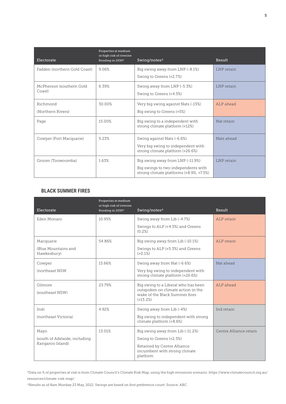| Electorate                         | Properties at medium<br>or high risk of riverine<br>flooding in 2030* | Swing/notes <sup>^</sup>                                                                                           | Result     |
|------------------------------------|-----------------------------------------------------------------------|--------------------------------------------------------------------------------------------------------------------|------------|
| Fadden (northern Gold Coast)       | 9.06%                                                                 | Big swing away from LNP (-8.1%)<br>Swing to Greens (+2.7%)                                                         | LNP retain |
| McPherson (southern Gold<br>Coast) | 6.39%                                                                 | Swing away from LNP (-5.3%)<br>Swing to Greens (+4.5%)                                                             | LNP retain |
| Richmond<br>(Northern Rivers)      | 30.00%                                                                | Very big swing against Nats (-13%)<br>Big swing to Greens (+5%)                                                    | ALP ahead  |
| Page                               | 15.00%                                                                | Big swing to a independent with<br>strong climate platform (+12%)                                                  | Nat retain |
| Cowper (Port Macquarie)            | 5.23%                                                                 | Swing against Nats (-6.6%)<br>Very big swing to independent with<br>strong climate platform (+26.6%)               | Nats ahead |
| Groom (Toowoomba)                  | 1.63%                                                                 | Big swing away from LNP (-11.9%)<br>Big swings to two independents with<br>strong climate platforms (+8.9%, +7.5%) | LNP retain |

#### **BLACK SUMMER FIRES**

| Electorate                                        | Properties at medium<br>or high risk of riverine<br>flooding in 2030* | Swing/notes^                                                                                                              | Result                 |
|---------------------------------------------------|-----------------------------------------------------------------------|---------------------------------------------------------------------------------------------------------------------------|------------------------|
| Eden Monaro                                       | 10.95%                                                                | Swing away from Lib (-4.7%)                                                                                               | ALP retain             |
|                                                   |                                                                       | Swings to ALP (+4.5%) and Greens<br>(0.2%)                                                                                |                        |
| Macquarie                                         | 5486%                                                                 | Big swing away from Lib (-10.1%)                                                                                          | ALP retain             |
| (Blue Mountains and<br>Hawkesbury)                |                                                                       | Swings to ALP (+5.3%) and Greens<br>$(+0.1\%)$                                                                            |                        |
| Cowper                                            | 1566%                                                                 | Swing away from Nat (-6.6%)                                                                                               | Nat ahead              |
| (northeast NSW                                    |                                                                       | Very big swing to independent with<br>strong climate platform (+26.6%)                                                    |                        |
| Gilmore<br>(southeast NSW)                        | 23.79%                                                                | Big swing to a Liberal who has been<br>outspoken on climate action in the<br>wake of the Black Summer fires<br>$(+13.2%)$ | ALP ahead              |
| Indi                                              | 4.92%                                                                 | Swing away from Lib (-4%)                                                                                                 | Ind retain             |
| (northeast Victoria)                              |                                                                       | Big swing to independent with strong<br>climate platform (+8.6%)                                                          |                        |
| Mayo                                              | 13.01%                                                                | Big swing away from Lib (-11.2%)                                                                                          | Centre Alliance retain |
| (south of Adelaide, including<br>Kangaroo Island) |                                                                       | Swing to Greens (+2.5%)                                                                                                   |                        |
|                                                   |                                                                       | Retained by Centre Alliance<br>incumbent with strong climate<br>platform                                                  |                        |

\*Data on % of properties at risk is from Climate Council's Climate Risk Map, using the high emissions scenario: https://www.climatecouncil.org.au/ resources/climate-risk-map/

^Results as of 8am Monday 23 May, 2022 Swings are based on first preference count. Source: ABC.